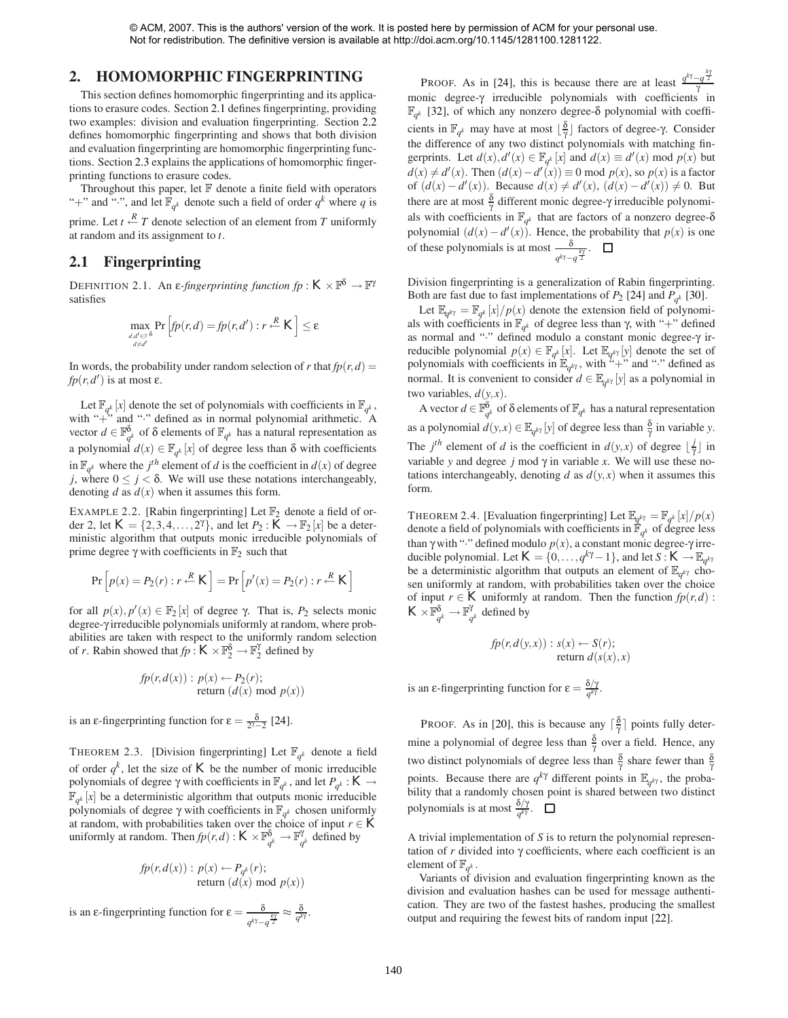#### **2. HOMOMORPHIC FINGERPRINTING**

This section defines homomorphic fingerprinting and its applications to erasure codes. Section [2.1](#page-1-0) defines fingerprinting, providing two examples: division and evaluation fingerprinting. Section [2.2](#page-2-0) defines homomorphic fingerprinting and shows that both division and evaluation fingerprinting are homomorphic fingerprinting functions. Section [2.3](#page-2-1) explains the applications of homomorphic fingerprinting functions to erasure codes.

Throughout this paper, let  $\mathbb F$  denote a finite field with operators "+" and ":", and let  $\mathbb{F}_{q^k}$  denote such a field of order  $q^k$  where q is prime. Let  $t \stackrel{R}{\leftarrow} T$  denote selection of an element from *T* uniformly at random and its assignment to *t*.

## <span id="page-1-4"></span><span id="page-1-0"></span>**2.1 Fingerprinting**

DEFINITION 2.1. An  $\varepsilon$ -fingerprinting function  $fp: K \times \mathbb{F}^{\delta} \to \mathbb{F}^{\gamma}$ satisfies

$$
\max_{\substack{d,d' \in \mathbb{F}^{\delta} \\ d \neq d'}} \Pr \left[ fp(r,d) = fp(r,d') : r \stackrel{R}{\leftarrow} K \right] \leq \varepsilon
$$

In words, the probability under random selection of *r* that  $fp(r, d)$  = *fp*(*r*,*d*<sup> $\prime$ </sup>) is at most ε.

Let  $\mathbb{F}_{q^k}$  [*x*] denote the set of polynomials with coefficients in  $\mathbb{F}_{q^k}$ , with " $+\tilde{ }$ " and " $\cdot$ " defined as in normal polynomial arithmetic. A vector  $d \in \mathbb{F}_{q^k}^{\delta}$  of  $\delta$  elements of  $\mathbb{F}_{q^k}$  has a natural representation as a polynomial  $d(x) \in \mathbb{F}_{q^k}[x]$  of degree less than  $\delta$  with coefficients in  $\mathbb{F}_{q^k}$  where the *j*<sup>th</sup> element of *d* is the coefficient in  $d(x)$  of degree *j*, where  $0 \leq j < \delta$ . We will use these notations interchangeably, denoting *d* as  $d(x)$  when it assumes this form.

<span id="page-1-1"></span>EXAMPLE 2.2. [Rabin fingerprinting] Let  $\mathbb{F}_2$  denote a field of order 2, let  $K = \{2, 3, 4, ..., 2^{\gamma}\}\$ , and let  $P_2 : K \to \mathbb{F}_2[x]$  be a deterministic algorithm that outputs monic irreducible polynomials of prime degree γ with coefficients in  $\mathbb{F}_2$  such that

$$
\Pr\left[p(x) = P_2(r) : r \stackrel{R}{\leftarrow} K\right] = \Pr\left[p'(x) = P_2(r) : r \stackrel{R}{\leftarrow} K\right]
$$

for all  $p(x)$ ,  $p'(x) \in \mathbb{F}_2[x]$  of degree  $\gamma$ . That is,  $P_2$  selects monic degree-γ irreducible polynomials uniformly at random, where probabilities are taken with respect to the uniformly random selection of *r*. Rabin showed that  $fp: K \times \mathbb{F}_2^{\delta} \to \mathbb{F}_2^{\gamma}$  defined by

$$
fp(r, d(x)) : p(x) \leftarrow P_2(r);
$$
  
return  $(d(x) \mod p(x))$ 

is an  $\epsilon$ -fingerprinting function for  $\epsilon = \frac{\delta}{2^{\gamma}-2}$  [\[24\]](#page-7-0).

<span id="page-1-2"></span>THEOREM 2.3. [Division fingerprinting] Let  $\mathbb{F}_{q^k}$  denote a field of order  $q^k$ , let the size of  $K$  be the number of monic irreducible polynomials of degree γ with coefficients in  $\mathbb{F}_{q^k}$ , and let  $P_{q^k}$  :  $K \to$  $\mathbb{F}_{q^k}[x]$  be a deterministic algorithm that outputs monic irreducible polynomials of degree γ with coefficients in  $\mathbb{F}_{q^k}$  chosen uniformly at random, with probabilities taken over the choice of input  $r \in K$ uniformly at random. Then  $fp(r,d): K \times \mathbb{F}_{q^k}^{\delta} \to \mathbb{F}_{q^k}^{\gamma}$  defined by

$$
fp(r, d(x)) : p(x) \leftarrow P_{q^k}(r);
$$
  
return  $(d(x) \text{ mod } p(x))$ 

is an ε-fingerprinting function for  $ε = \frac{δ}{q^{k\gamma}-q^{\frac{k\gamma}{2}}} ≈ \frac{δ}{q^{k\gamma}}$ .

PROOF. As in [\[24\]](#page-7-0), this is because there are at least  $\frac{q^{k\gamma}-q^{\frac{k\gamma}{2}}}{\gamma}$ monic degree-γ irreducible polynomials with coefficients in  $\mathbb{F}_{q^k}$  [\[32\]](#page-7-1), of which any nonzero degree- $\delta$  polynomial with coefficients in  $\mathbb{F}_{q^k}$  may have at most  $\lfloor \frac{\delta}{\gamma} \rfloor$  factors of degree-γ. Consider the difference of any two distinct polynomials with matching fingerprints. Let  $d(x)$ ,  $d'(x) \in \mathbb{F}_{q^k}[x]$  and  $d(x) \equiv d'(x) \mod p(x)$  but  $d(x) \neq d'(x)$ . Then  $(d(x) - d'(x)) \equiv 0 \mod p(x)$ , so  $p(x)$  is a factor of  $(d(x) - d'(x))$ . Because  $d(x) ≠ d'(x)$ ,  $(d(x) - d'(x)) ≠ 0$ . But there are at most  $\frac{\delta}{\gamma}$  different monic degree- $\gamma$  irreducible polynomials with coefficients in  $\mathbb{F}_{q^k}$  that are factors of a nonzero degree- $\delta$ polynomial  $(d(x) - d'(x))$ . Hence, the probability that  $p(x)$  is one of these polynomials is at most  $\frac{\delta}{q^{k\gamma}-q^{\frac{k\gamma}{2}}}$ .

Division fingerprinting is a generalization of Rabin fingerprinting. Both are fast due to fast implementations of  $P_2$  [\[24\]](#page-7-0) and  $P_{q^k}$  [\[30\]](#page-7-2).

Let  $\mathbb{E}_{q^{k\gamma}} = \mathbb{F}_{q^k}[x]/p(x)$  denote the extension field of polynomials with coefficients in  $\mathbb{F}_{q^k}$  of degree less than γ, with "+" defined as normal and "·" defined modulo a constant monic degree-γ irreducible polynomial  $p(x) \in \mathbb{F}_{q^k}[x]$ . Let  $\mathbb{E}_{q^k}[y]$  denote the set of polynomials with coefficients in  $\mathbb{E}_{q^{k\gamma}}$ , with "+" and "·" defined as normal. It is convenient to consider  $d \in \mathbb{E}_{q^{k\gamma}}[y]$  as a polynomial in two variables,  $d(y, x)$ .

A vector  $d \in \mathbb{F}_{q^k}^{\delta}$  of  $\delta$  elements of  $\mathbb{F}_{q^k}$  has a natural representation as a polynomial  $d(y, x) \in \mathbb{E}_{q^{k\gamma}}[y]$  of degree less than  $\frac{\delta}{\gamma}$  in variable *y*. The *j*<sup>th</sup> element of *d* is the coefficient in *d*(*y*,*x*) of degree  $\lfloor \frac{j}{\gamma} \rfloor$  in variable *y* and degree *j* mod  $\gamma$  in variable *x*. We will use these notations interchangeably, denoting *d* as  $d(y, x)$  when it assumes this form.

<span id="page-1-3"></span>THEOREM 2.4. [Evaluation fingerprinting] Let  $\mathbb{E}_{q^{k\gamma}} = \mathbb{F}_{q^k}[x]/p(x)$ denote a field of polynomials with coefficients in  $\mathbb{F}_{q^k}$  of degree less than γ with "·" defined modulo  $p(x)$ , a constant monic degree-γ irreducible polynomial. Let  $K = \{0, \ldots, q^{k\gamma} - 1\}$ , and let  $S: K \to \mathbb{E}_{q^{k\gamma}}$ be a deterministic algorithm that outputs an element of  $\mathbb{E}_{q^{k\gamma}}$  chosen uniformly at random, with probabilities taken over the choice of input *r*  $\in$  *K* uniformly at random. Then the function  $fp(r,d)$ :  $K \times \overline{\mathbb{F}_{q^k}^{\delta}} \to \mathbb{F}_{q^k}^{\gamma}$  defined by

$$
fp(r, d(y, x)) : s(x) \leftarrow S(r);
$$
  
return 
$$
d(s(x), x)
$$

is an  $\epsilon$ -fingerprinting function for  $\epsilon = \frac{\delta/\gamma}{q^{k\gamma}}$ .

**PROOF.** As in [\[20\]](#page-7-3), this is because any  $\lceil \frac{\delta}{\gamma} \rceil$  points fully determine a polynomial of degree less than  $\frac{\delta}{\gamma}$  over a field. Hence, any two distinct polynomials of degree less than  $\frac{\delta}{\gamma}$  share fewer than  $\frac{\delta}{\gamma}$ points. Because there are  $q^{k\gamma}$  different points in  $\mathbb{E}_{q^{k\gamma}}$ , the probability that a randomly chosen point is shared between two distinct polynomials is at most  $\frac{\delta/\gamma}{q^{k\gamma}}$ .

A trivial implementation of *S* is to return the polynomial representation of *r* divided into γ coefficients, where each coefficient is an element of  $\mathbb{F}_{a^k}$ .

Variants of division and evaluation fingerprinting known as the division and evaluation hashes can be used for message authentication. They are two of the fastest hashes, producing the smallest output and requiring the fewest bits of random input [\[22\]](#page-7-4).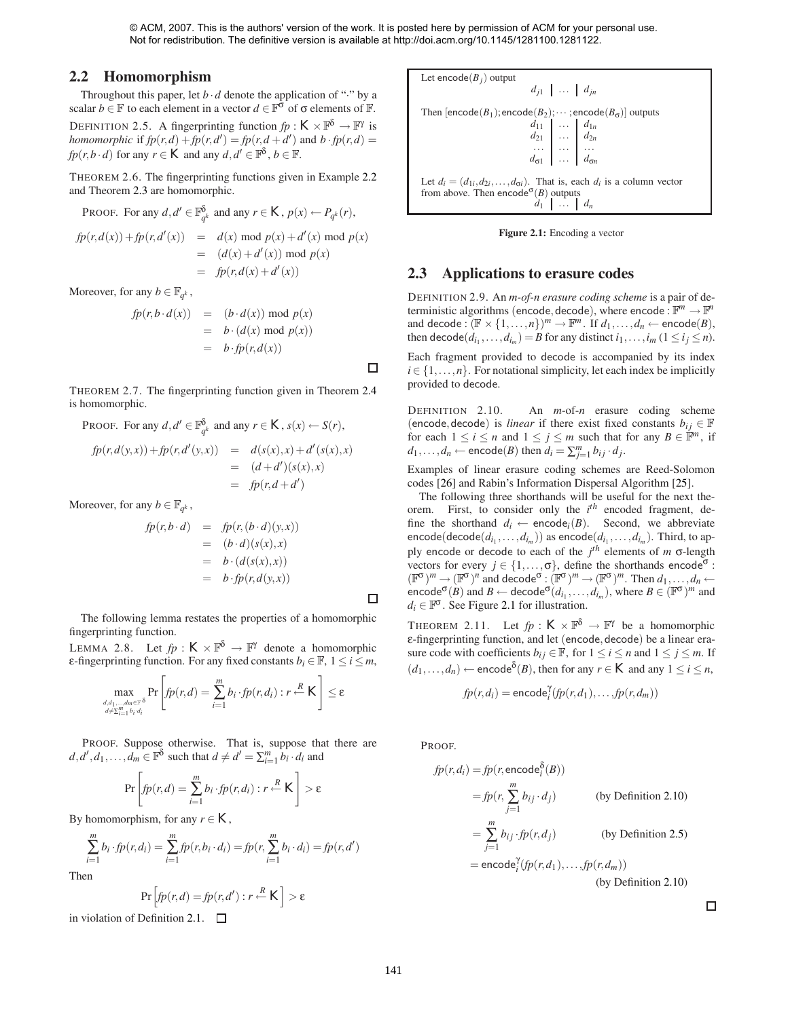<span id="page-2-3"></span> $\Box$ 

<span id="page-2-5"></span> $\Box$ 

#### <span id="page-2-0"></span>**2.2 Homomorphism**

<span id="page-2-4"></span>Throughout this paper, let  $b \cdot d$  denote the application of "." by a scalar *b* ∈  $\mathbb F$  to each element in a vector  $d \in \mathbb F^{\sigma}$  of  $\sigma$  elements of  $\mathbb F$ . DEFINITION 2.5. A fingerprinting function  $fp: K \times \mathbb{F}^{\delta} \to \mathbb{F}^{\gamma}$  is *homomorphic* if  $fp(r, d) + fp(r, d') = fp(r, d + d')$  and  $b \cdot fp(r, d) =$ *fp*(*r*,*b* · *d*) for any *r* ∈ *K* and any *d*, *d'* ∈  $\mathbb{F}^{\delta}$ , *b* ∈  $\mathbb{F}$ .

THEOREM 2.6. The fingerprinting functions given in Example [2.2](#page-1-1) and Theorem [2.3](#page-1-2) are homomorphic.

PROOF. For any 
$$
d, d' \in \mathbb{F}_{q^k}^{\delta}
$$
 and any  $r \in K$ ,  $p(x) \leftarrow P_{q^k}(r)$ ,

$$
fp(r,d(x)) + fp(r,d'(x)) = d(x) \mod p(x) + d'(x) \mod p(x)
$$
  
=  $(d(x) + d'(x)) \mod p(x)$   
=  $fp(r,d(x) + d'(x))$ 

Moreover, for any  $b \in \mathbb{F}_{a^k}$ ,

$$
fp(r, b \cdot d(x)) = (b \cdot d(x)) \mod p(x)
$$
  
=  $b \cdot (d(x) \mod p(x))$   
=  $b \cdot fp(r, d(x))$ 

THEOREM 2.7. The fingerprinting function given in Theorem [2.4](#page-1-3) is homomorphic.

PROOF. For any  $d, d' \in \mathbb{F}_{q^k}^{\delta}$  and any  $r \in K$ ,  $s(x) \leftarrow S(r)$ ,

$$
fp(r,d(y,x)) + fp(r,d'(y,x)) = d(s(x),x) + d'(s(x),x)
$$
  
=  $(d+d')(s(x),x)$   
=  $fp(r,d+d')$ 

Moreover, for any  $b \in \mathbb{F}_{q^k}$ ,

$$
fp(r, b \cdot d) = fp(r, (b \cdot d)(y, x))
$$
  
= (b \cdot d)(s(x), x)  
= b \cdot (d(s(x), x))  
= b \cdot fp(r, d(y, x))

The following lemma restates the properties of a homomorphic fingerprinting function.

<span id="page-2-6"></span>LEMMA 2.8. Let  $fp: K \times \mathbb{F}^{\delta} \to \mathbb{F}^{\gamma}$  denote a homomorphic ε-fingerprinting function. For any fixed constants  $b_i \in \mathbb{F}$ ,  $1 \le i \le m$ ,

$$
\max_{\substack{d, d_1, \ldots, d_m \in \mathbb{F}^8\\ d \neq \sum_{i=1}^m b_i \cdot d_i}} \Pr \left[ f p(r,d) = \sum_{i=1}^m b_i \cdot f p(r,d_i) : r \stackrel{R}{\leftarrow} K \right] \le \varepsilon
$$

PROOF. Suppose otherwise. That is, suppose that there are  $d$ ,  $d'$ ,  $d_1$ , ...,  $d_m \in \mathbb{F}^{\delta}$  such that  $d \neq d' = \sum_{i=1}^{m} b_i \cdot d_i$  and

$$
\Pr\left[fp(r,d)=\sum_{i=1}^m b_i \cdot fp(r,d_i):r\stackrel{R}{\leftarrow} K\right] > \varepsilon
$$

By homomorphism, for any  $r \in K$ ,

$$
\sum_{i=1}^{m} b_i \cdot fp(r, d_i) = \sum_{i=1}^{m} fp(r, b_i \cdot d_i) = fp(r, \sum_{i=1}^{m} b_i \cdot d_i) = fp(r, d')
$$

Then

$$
\Pr\left[fp(r,d)=fp(r,d'):r\stackrel{R}{\leftarrow}K\right]>\varepsilon
$$

in violation of Definition [2.1.](#page-1-4)  $\Box$ 

Let 
$$
\text{encode}(B_j)
$$
 output  
\n $d_{j1} | \dots | d_{jn}$   
\nThen  $[\text{encode}(B_1); \text{encode}(B_2); \dots; \text{encode}(B_{\sigma})]$  outputs  
\n $d_{11} | \dots | d_{1n}$   
\n $d_{21} | \dots | d_{2n}$   
\n $\dots | \dots | d_{\sigma n}$   
\nLet  $d_i = (d_{1i}, d_{2i}, ..., d_{\sigma i})$ . That is, each  $d_i$  is a column vector  
\nfrom above. Then  $\text{encode}^{\sigma}(B)$  outputs  
\n $d_1 | \dots | d_n$ 

<span id="page-2-2"></span>

#### <span id="page-2-7"></span><span id="page-2-1"></span>**2.3 Applications to erasure codes**

DEFINITION 2.9. An *m-of-n erasure coding scheme* is a pair of deterministic algorithms (encode, decode), where encode :  $\mathbb{F}^m \to \mathbb{F}^n$ and decode :  $(\mathbb{F} \times \{1, ..., n\})^m \to \mathbb{F}^m$ . If  $d_1, ..., d_n \leftarrow \text{encode}(B)$ , then  $\text{decode}(d_{i_1}, \ldots, d_{i_m}) = B$  for any distinct  $i_1, \ldots, i_m$  ( $1 \leq i_j \leq n$ ).

Each fragment provided to decode is accompanied by its index  $i \in \{1, \ldots, n\}$ . For notational simplicity, let each index be implicitly provided to decode.

DEFINITION 2.10. An *m*-of-*n* erasure coding scheme (encode, decode) is *linear* if there exist fixed constants  $b_{ij} \in \mathbb{F}$ for each  $1 \le i \le n$  and  $1 \le j \le m$  such that for any  $B \in \mathbb{F}^m$ , if  $d_1, \ldots, d_n \leftarrow \textsf{encode}(B) \text{ then } d_i = \sum_{j=1}^m b_{ij} \cdot d_j.$ 

Examples of linear erasure coding schemes are Reed-Solomon codes [\[26\]](#page-7-5) and Rabin's Information Dispersal Algorithm [\[25\]](#page-7-6).

The following three shorthands will be useful for the next theorem. First, to consider only the *i*<sup>th</sup> encoded fragment, define the shorthand  $d_i \leftarrow \text{encode}_i(B)$ . Second, we abbreviate encode(decode( $d_{i_1}, \ldots, d_{i_m}$ )) as encode( $d_{i_1}, \ldots, d_{i_m}$ ). Third, to apply encode or decode to each of the *j th* elements of *m* σ-length vectors for every  $j \in \{1, \ldots, \sigma\}$ , define the shorthands encode<sup> $\sigma$ </sup>:  $(\mathbb{F}^{\sigma})^m \to (\mathbb{F}^{\sigma})^n$  and decode<sup> $\sigma$ </sup>:  $(\mathbb{F}^{\sigma})^m \to (\mathbb{F}^{\sigma})^m$ . Then  $d_1, \ldots, d_n \leftarrow$ encode<sup> $\sigma$ </sup>(*B*) and *B* ← decode<sup> $\sigma$ </sup>( $d_{i_1}, \ldots, d_{i_m}$ ), where *B* ∈ ( $\mathbb{F}^{\sigma}$ )<sup>*m*</sup> and  $d_i \in \mathbb{F}^{\sigma}$ . See Figure [2.1](#page-2-2) for illustration.

THEOREM 2.11. Let  $fp: K \times \mathbb{F}^{\delta} \to \mathbb{F}^{\gamma}$  be a homomorphic ε-fingerprinting function, and let (encode*,*decode) be a linear erasure code with coefficients  $b_{ij} \in \mathbb{F}$ , for  $1 \le i \le n$  and  $1 \le j \le m$ . If  $(d_1, \ldots, d_n) \leftarrow$  encode<sup>8</sup>(*B*), then for any  $r \in K$  and any  $1 \le i \le n$ ,

$$
fp(r, d_i) = \text{encode}_i^{\gamma}(fp(r, d_1), \dots, fp(r, d_m))
$$

PROOF.

$$
fp(r, d_i) = fp(r, \text{encode}_i^{\delta}(B))
$$
  
\n
$$
= fp(r, \sum_{j=1}^{m} b_{ij} \cdot d_j)
$$
 (by Definition 2.10)  
\n
$$
= \sum_{j=1}^{m} b_{ij} \cdot fp(r, d_j)
$$
 (by Definition 2.5)  
\n
$$
= \text{encode}_i^{\gamma}(fp(r, d_1), \dots, fp(r, d_m))
$$

(by Definition [2.10\)](#page-2-3)

 $\Box$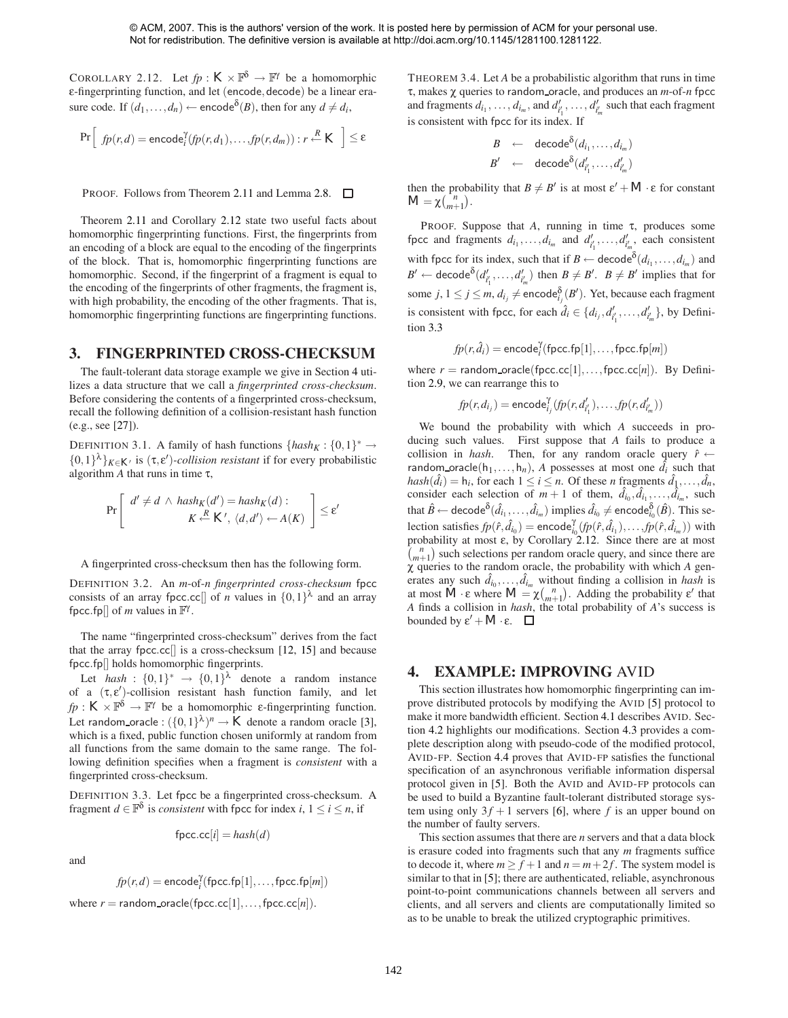<span id="page-3-0"></span>COROLLARY 2.12. Let  $fp: K \times \mathbb{P}^{\delta} \to \mathbb{F}^{\gamma}$  be a homomorphic ε-fingerprinting function, and let (encode*,*decode) be a linear erasure code. If  $(d_1, ..., d_n) \leftarrow \text{encode}^{\delta}(B)$ , then for any  $d \neq d_i$ ,

$$
\Pr\left[\n f p(r,d) = \mathsf{encode}_i^{\gamma}(fp(r,d_1), \ldots, fp(r,d_m)) : r \stackrel{R}{\leftarrow} K \right] \leq \varepsilon
$$

PROOF. Follows from Theorem [2.11](#page-2-5) and Lemma [2.8.](#page-2-6)

Theorem [2.11](#page-2-5) and Corollary [2.12](#page-3-0) state two useful facts about homomorphic fingerprinting functions. First, the fingerprints from an encoding of a block are equal to the encoding of the fingerprints of the block. That is, homomorphic fingerprinting functions are homomorphic. Second, if the fingerprint of a fragment is equal to the encoding of the fingerprints of other fragments, the fragment is, with high probability, the encoding of the other fragments. That is, homomorphic fingerprinting functions are fingerprinting functions.

## <span id="page-3-2"></span>**3. FINGERPRINTED CROSS-CHECKSUM**

The fault-tolerant data storage example we give in Section [4](#page-3-1) utilizes a data structure that we call a *fingerprinted cross-checksum*. Before considering the contents of a fingerprinted cross-checksum, recall the following definition of a collision-resistant hash function (e.g., see [\[27\]](#page-7-7)).

DEFINITION 3.1. A family of hash functions  $\{hash_K : \{0,1\}^* \rightarrow$  $\{0,1\}^{\lambda}\}_{K \in K'}$  is  $(\tau, \varepsilon')$ -collision resistant if for every probabilistic algorithm  $A$  that runs in time  $\tau$ ,

$$
\Pr\left[\begin{array}{c}d' \neq d \,\wedge\, \text{hash}_K(d') = \text{hash}_K(d) : \\ K \stackrel{R}{\leftarrow} K', \,\langle d, d' \rangle \leftarrow A(K)\end{array}\right] \leq \varepsilon'
$$

A fingerprinted cross-checksum then has the following form.

DEFINITION 3.2. An *m*-of-*n fingerprinted cross-checksum* fpcc consists of an array fpcc.cc<sup>[]</sup> of *n* values in  $\{0,1\}^{\lambda}$  and an array fpcc.fp $\Box$  of *m* values in  $\mathbb{F}^{\gamma}$ .

The name "fingerprinted cross-checksum" derives from the fact that the array fpcc*.*cc[] is a cross-checksum [\[12,](#page-7-8) [15\]](#page-7-9) and because fpcc*.*fp[] holds homomorphic fingerprints.

Let *hash* :  $\{0,1\}^* \rightarrow \{0,1\}^{\lambda}$  denote a random instance of a (τ*,* ε )-collision resistant hash function family, and let  $fp: K \times \mathbb{F}^{\delta} \to \mathbb{F}^{\gamma}$  be a homomorphic *ε*-fingerprinting function. Let random\_oracle :  $({0,1}^{\lambda})^n \rightarrow K$  denote a random oracle [\[3\]](#page-7-10), which is a fixed, public function chosen uniformly at random from all functions from the same domain to the same range. The following definition specifies when a fragment is *consistent* with a fingerprinted cross-checksum.

DEFINITION 3.3. Let fpcc be a fingerprinted cross-checksum. A fragment *d* ∈  $\mathbb{F}^{\delta}$  is *consistent* with fpcc for index *i*,  $1 \le i \le n$ , if

$$
\mathsf{fpcc}.\mathsf{cc}[i] = hash(d)
$$

and

$$
\mathit{fp}(r,d) = \mathsf{encode}^\gamma_i(\mathsf{fpcc.fp}[1], \ldots, \mathsf{fpcc.fp}[m])
$$

where  $r =$  random\_oracle(fpcc.cc[1],...,fpcc.cc[*n*]).

THEOREM 3.4. Let *A* be a probabilistic algorithm that runs in time τ, makes χ queries to random oracle, and produces an *m*-of-*n* fpcc and fragments  $d_{i_1}, \ldots, d_{i_m}$ , and  $d'_{i'_1}, \ldots, d'_{i'_m}$  such that each fragment is consistent with fpcc for its index. If

$$
B \leftarrow \text{decode}^{\delta}(d_{i_1}, \ldots, d_{i_m})
$$
  

$$
B' \leftarrow \text{decode}^{\delta}(d'_{i'_1}, \ldots, d'_{i'_m})
$$

then the probability that  $B \neq B'$  is at most  $\varepsilon' + M \cdot \varepsilon$  for constant  $M = \chi(\bigcap_{m+1}^{n} ).$ 

PROOF. Suppose that *A*, running in time τ, produces some fpcc and fragments  $d_{i_1}, \ldots, d_{i_m}$  and  $d'_{i'_1}, \ldots, d'_{i'_m}$ , each consistent with fpcc for its index, such that if  $B \leftarrow \text{decode}^{\delta}(d_{i_1}, \ldots, d_{i_m})$  and  $B' \leftarrow \text{decode}^{\delta}(d'_{i'_1},...,d'_{i'_m})$  then  $B \neq B'$ .  $B \neq B'$  implies that for some  $j, 1 \leq j \leq m, d_{i_j} \neq \mathsf{encode}^\mathsf{\delta}_{i_j}(\mathcal{B}').$  Yet, because each fragment is consistent with fpcc, for each  $\hat{d}_i \in \{d_{i_j}, d'_{i'_1}, \ldots, d'_{i'_m}\}$ , by Definition [3.3](#page-1-2)

$$
fp(r, \hat{d}_i) = \text{encode}_i^{\gamma}(\text{fpcc.fp}[1], \dots, \text{fpcc.fp}[m])
$$

where  $r =$  random oracle(fpcc.cc[1],...,fpcc.cc[*n*]). By Definition [2.9,](#page-2-7) we can rearrange this to

$$
\textit{fp}(r,d_{i_j}) = \mathsf{encode}_{i_j}^{\gamma}(\textit{fp}(r,d'_{i'_1}), \ldots, \textit{fp}(r,d'_{i'_m}))
$$

We bound the probability with which *A* succeeds in producing such values. First suppose that *A* fails to produce a collision in *hash*. Then, for any random oracle query  $\hat{r} \leftarrow$ random oracle $(h_1, \ldots, h_n)$ , *A* possesses at most one  $\hat{d}_i$  such that  $hash(\hat{d}_i) = h_i$ , for each  $1 \leq i \leq n$ . Of these *n* fragments  $\hat{d}_1, \dots, \hat{d}_n$ , consider each selection of  $m+1$  of them,  $\hat{d}_{i_0}, \hat{d}_{i_1}, \dots, \hat{d}_{i_m}$ , such that  $\hat{B} \leftarrow$  decode $^{\delta}(\hat{d}_{i_1}, \ldots, \hat{d}_{i_m})$  implies  $\hat{d}_{i_0} \neq$  encode $^{\delta}_{i_0}(\hat{B})$ . This selection satisfies  $fp(\hat{r}, \hat{d}_{i_0}) = \text{encode}_{i_0}^{\gamma}(fp(\hat{r}, \hat{d}_{i_1}), \dots, fp(\hat{r}, \hat{d}_{i_m}))$  with probability at most ε, by Corollary [2.12.](#page-3-0) Since there are at most  $\binom{n}{m+1}$  such selections per random oracle query, and since there are χ queries to the random oracle, the probability with which *A* generates any such  $\hat{d}_{i_0}, \dots, \hat{d}_{i_m}$  without finding a collision in *hash* is at most  $\tilde{M} \cdot \varepsilon$  where  $M = \chi {n \choose m+1}$ . Adding the probability  $\varepsilon'$  that *A* finds a collision in *hash*, the total probability of *A*'s success is bounded by  $\varepsilon' + M \cdot \varepsilon$ .  $\Box$ 

#### <span id="page-3-1"></span>**4. EXAMPLE: IMPROVING** AVID

This section illustrates how homomorphic fingerprinting can improve distributed protocols by modifying the AVID [\[5\]](#page-7-11) protocol to make it more bandwidth efficient. Section [4.1](#page-4-0) describes AVID. Section [4.2](#page-4-1) highlights our modifications. Section [4.3](#page-4-2) provides a complete description along with pseudo-code of the modified protocol, AVID-FP. Section [4.4](#page-4-3) proves that AVID-FP satisfies the functional specification of an asynchronous verifiable information dispersal protocol given in [\[5\]](#page-7-11). Both the AVID and AVID-FP protocols can be used to build a Byzantine fault-tolerant distributed storage system using only  $3f + 1$  servers [\[6\]](#page-7-12), where *f* is an upper bound on the number of faulty servers.

This section assumes that there are *n* servers and that a data block is erasure coded into fragments such that any *m* fragments suffice to decode it, where  $m \ge f + 1$  and  $n = m + 2f$ . The system model is similar to that in [\[5\]](#page-7-11); there are authenticated, reliable, asynchronous point-to-point communications channels between all servers and clients, and all servers and clients are computationally limited so as to be unable to break the utilized cryptographic primitives.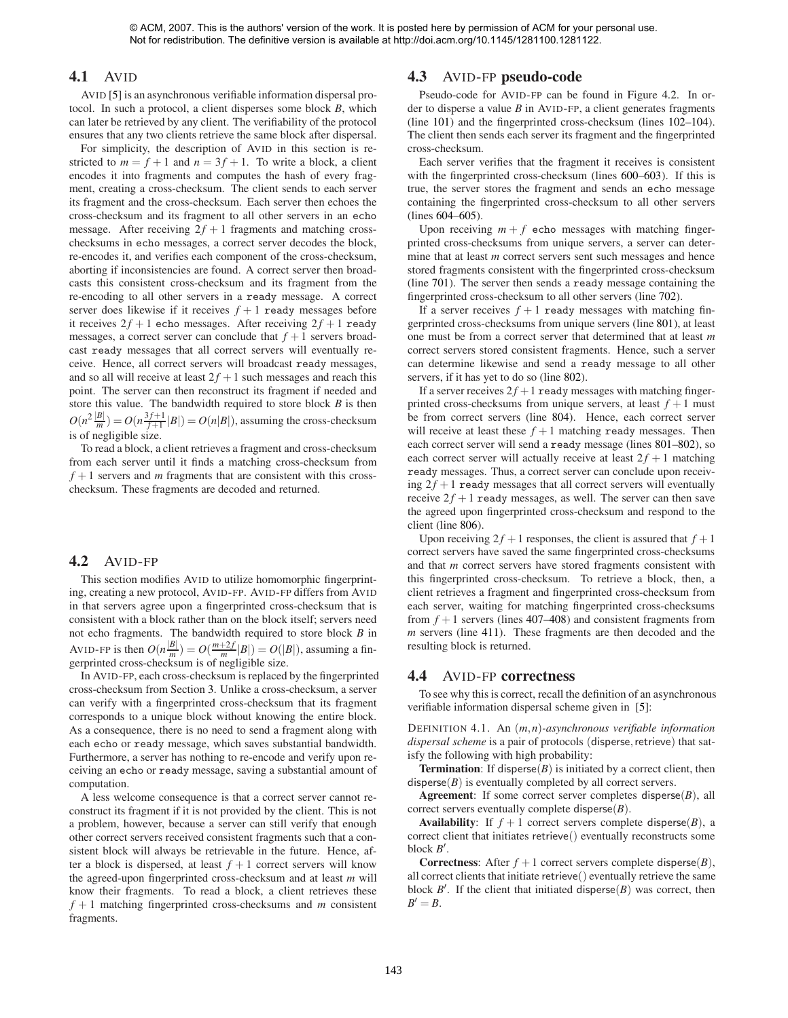#### <span id="page-4-0"></span>**4.1** AVID

AVID [\[5\]](#page-7-11) is an asynchronous verifiable information dispersal protocol. In such a protocol, a client disperses some block *B*, which can later be retrieved by any client. The verifiability of the protocol ensures that any two clients retrieve the same block after dispersal.

For simplicity, the description of AVID in this section is restricted to  $m = f + 1$  and  $n = 3f + 1$ . To write a block, a client encodes it into fragments and computes the hash of every fragment, creating a cross-checksum. The client sends to each server its fragment and the cross-checksum. Each server then echoes the cross-checksum and its fragment to all other servers in an echo message. After receiving  $2f + 1$  fragments and matching crosschecksums in echo messages, a correct server decodes the block, re-encodes it, and verifies each component of the cross-checksum, aborting if inconsistencies are found. A correct server then broadcasts this consistent cross-checksum and its fragment from the re-encoding to all other servers in a ready message. A correct server does likewise if it receives  $f + 1$  ready messages before it receives  $2f + 1$  echo messages. After receiving  $2f + 1$  ready messages, a correct server can conclude that  $f + 1$  servers broadcast ready messages that all correct servers will eventually receive. Hence, all correct servers will broadcast ready messages, and so all will receive at least  $2f + 1$  such messages and reach this point. The server can then reconstruct its fragment if needed and store this value. The bandwidth required to store block *B* is then  $O(n^2 \frac{|B|}{m}) = O(n \frac{3f+1}{f+1} |B|) = O(n|B|)$ , assuming the cross-checksum is of negligible size.

To read a block, a client retrieves a fragment and cross-checksum from each server until it finds a matching cross-checksum from  $f + 1$  servers and *m* fragments that are consistent with this crosschecksum. These fragments are decoded and returned.

## <span id="page-4-1"></span>**4.2** AVID-FP

This section modifies AVID to utilize homomorphic fingerprinting, creating a new protocol, AVID-FP. AVID-FP differs from AVID in that servers agree upon a fingerprinted cross-checksum that is consistent with a block rather than on the block itself; servers need not echo fragments. The bandwidth required to store block *B* in AVID-FP is then  $O(n \frac{|B|}{m}) = O(\frac{m+2f}{m}|B|) = O(|B|)$ , assuming a fin-<br>gerprinted cross-checksum is of negligible size.

In AVID-FP, each cross-checksum is replaced by the fingerprinted cross-checksum from Section [3.](#page-3-2) Unlike a cross-checksum, a server can verify with a fingerprinted cross-checksum that its fragment corresponds to a unique block without knowing the entire block. As a consequence, there is no need to send a fragment along with each echo or ready message, which saves substantial bandwidth. Furthermore, a server has nothing to re-encode and verify upon receiving an echo or ready message, saving a substantial amount of computation.

A less welcome consequence is that a correct server cannot reconstruct its fragment if it is not provided by the client. This is not a problem, however, because a server can still verify that enough other correct servers received consistent fragments such that a consistent block will always be retrievable in the future. Hence, after a block is dispersed, at least  $f + 1$  correct servers will know the agreed-upon fingerprinted cross-checksum and at least *m* will know their fragments. To read a block, a client retrieves these *f* + 1 matching fingerprinted cross-checksums and *m* consistent fragments.

## <span id="page-4-2"></span>**4.3** AVID-FP **pseudo-code**

Pseudo-code for AVID-FP can be found in Figure [4.2.](#page-5-0) In order to disperse a value *B* in AVID-FP, a client generates fragments (line [101\)](#page-5-1) and the fingerprinted cross-checksum (lines [102](#page-5-2)[–104\)](#page-5-3). The client then sends each server its fragment and the fingerprinted cross-checksum.

Each server verifies that the fragment it receives is consistent with the fingerprinted cross-checksum (lines [600–](#page-5-4)[603\)](#page-5-5). If this is true, the server stores the fragment and sends an echo message containing the fingerprinted cross-checksum to all other servers (lines [604](#page-5-6)[–605\)](#page-5-7).

Upon receiving  $m + f$  echo messages with matching fingerprinted cross-checksums from unique servers, a server can determine that at least *m* correct servers sent such messages and hence stored fragments consistent with the fingerprinted cross-checksum (line [701\)](#page-5-8). The server then sends a ready message containing the fingerprinted cross-checksum to all other servers (line [702\)](#page-5-9).

If a server receives  $f + 1$  ready messages with matching fingerprinted cross-checksums from unique servers (line [801\)](#page-5-10), at least one must be from a correct server that determined that at least *m* correct servers stored consistent fragments. Hence, such a server can determine likewise and send a ready message to all other servers, if it has yet to do so (line [802\)](#page-5-11).

If a server receives  $2f + 1$  ready messages with matching fingerprinted cross-checksums from unique servers, at least  $f + 1$  must be from correct servers (line [804\)](#page-5-12). Hence, each correct server will receive at least these  $f + 1$  matching ready messages. Then each correct server will send a ready message (lines [801](#page-5-10)[–802\)](#page-5-11), so each correct server will actually receive at least  $2f + 1$  matching ready messages. Thus, a correct server can conclude upon receiving  $2f + 1$  ready messages that all correct servers will eventually receive  $2f + 1$  ready messages, as well. The server can then save the agreed upon fingerprinted cross-checksum and respond to the client (line [806\)](#page-5-13).

Upon receiving  $2f + 1$  responses, the client is assured that  $f + 1$ correct servers have saved the same fingerprinted cross-checksums and that *m* correct servers have stored fragments consistent with this fingerprinted cross-checksum. To retrieve a block, then, a client retrieves a fragment and fingerprinted cross-checksum from each server, waiting for matching fingerprinted cross-checksums from  $f + 1$  servers (lines [407–](#page-5-14)[408\)](#page-5-15) and consistent fragments from *m* servers (line [411\)](#page-5-16). These fragments are then decoded and the resulting block is returned.

#### <span id="page-4-3"></span>**4.4** AVID-FP **correctness**

To see why this is correct, recall the definition of an asynchronous verifiable information dispersal scheme given in [\[5\]](#page-7-11):

DEFINITION 4.1. An (*m,n*)*-asynchronous verifiable information dispersal scheme* is a pair of protocols (disperse*,*retrieve) that satisfy the following with high probability:

**Termination**: If disperse $(B)$  is initiated by a correct client, then disperse $(B)$  is eventually completed by all correct servers.

**Agreement**: If some correct server completes disperse(*B*), all correct servers eventually complete disperse(*B*).

**Availability**: If  $f + 1$  correct servers complete disperse(*B*), a correct client that initiates retrieve() eventually reconstructs some block *B* .

**Correctness**: After  $f + 1$  correct servers complete disperse( $B$ ), all correct clients that initiate retrieve() eventually retrieve the same block  $B'$ . If the client that initiated disperse $(B)$  was correct, then  $B' = B$ .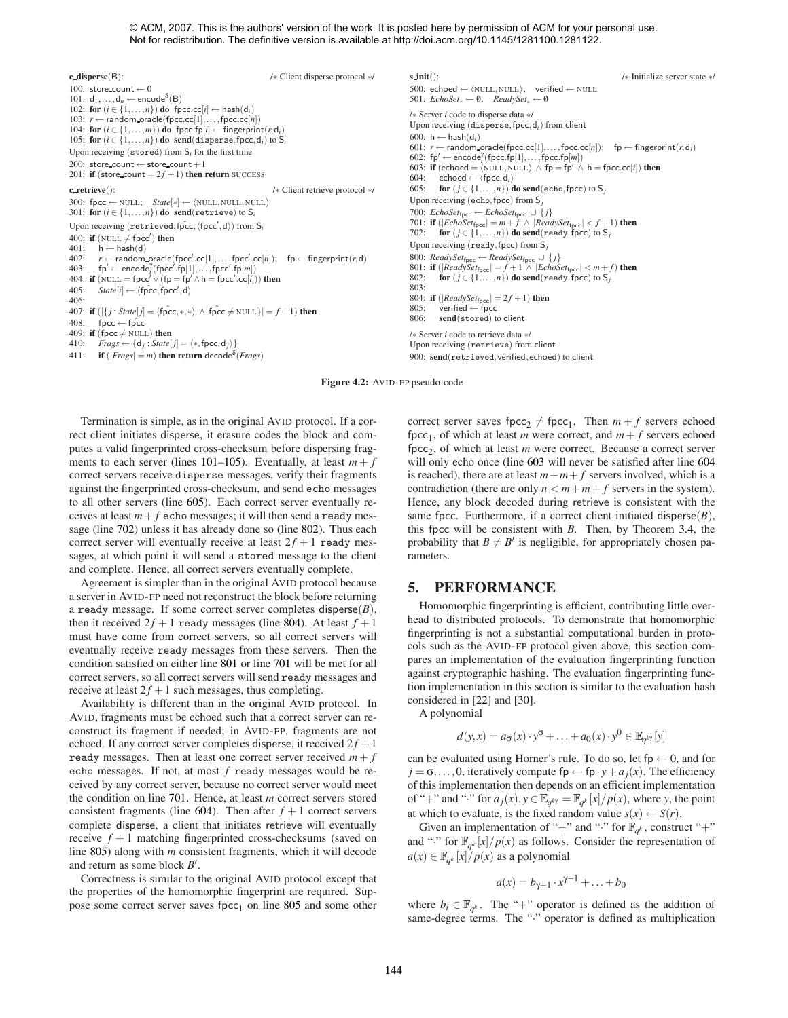<span id="page-5-17"></span><span id="page-5-3"></span><span id="page-5-2"></span><span id="page-5-1"></span>**c disperse**(B): /∗ Client disperse protocol ∗/ 100: store\_count  $\leftarrow$  0 101:  $d_1, \ldots, d_n \leftarrow \text{encode}^{\delta}(B)$ 102: **for**  $(i \in \{1, ..., n\})$  **do** fpcc.cc $[i] \leftarrow$  hash $(d_i)$ 103: *r* ← random oracle(fpcc*.*cc[1]*,...,*fpcc*.*cc[*n*]) 104: for  $(i \in \{1, ..., m\})$  do fpcc.fp[ $i$ ]  $\leftarrow$  fingerprint $(r, d_i)$ <br>105: for  $(i \in \{1, ..., n\})$  do send(disperse, fpcc,  $d_i$ ) to S<sub>i</sub> Upon receiving (stored) from S*<sup>i</sup>* for the first time 200: store\_count  $\leftarrow$  store\_count +1 201: **if** (store\_count =  $2f + 1$ ) **then return** SUCCESS **c retrieve**(): /∗ Client retrieve protocol ∗/ 300: fpcc ← NULL;  $State[*] \leftarrow \langle NULL, NULL, NULL \rangle$ 301: **for**  $(i \in \{1, ..., n\})$  **do** send(retrieve) to  $S_i$ Upon receiving  $(\texttt{retrieved},\texttt{fpcc}',\texttt{fpcc}',\texttt{d}))$  from  $\mathsf{S}_i$ 400: **if** (NULL  $\neq$  fpcc') **then** 401:  $h \leftarrow$  hash(d)<br>402:  $r \leftarrow$  random.  $402:$   $r \leftarrow$  random\_oracle(fpcc'.cc[1],...,fpcc'.cc[n]); fp  $\leftarrow$  fingerprint(*r*,d)  $403:$  fp'  $\leftarrow$  encode<sup>2</sup> (fpcc<sup>'</sup>.fp[1],...,fpcc<sup>'</sup>.fp[*m*]) 404: **if**  $(NULL = fpcc<sup>'</sup>  $\vee$   $(fp = fp' \wedge h =$  fpcc'  $cc[i])$  **then**$  $405$ :  $State[i] \leftarrow \langle f \hat{p} \hat{c} \hat{c}, f \hat{p} \hat{c} \hat{c}', d \rangle$ 406: 407: **if** ( $|\{ j : State[j] = \langle \hat{fpec}, *, * \rangle \land \hat{fpec} \neq \text{NULL}\}| = f + 1$ ) **then** 408: fpcc  $\leftarrow$  fpcc 409: **if** (fpcc  $\neq$  NULL) **then** 410: *Frags* ← {d*<sub>j</sub>* : *State*[*j*] =  $\langle *,$  fpcc, d<sub>*i*</sub>}} 411: **if**  $(|Frags| = m)$  then return decode<sup> $\delta$ </sup>(*Frags*)

<span id="page-5-8"></span><span id="page-5-7"></span><span id="page-5-6"></span><span id="page-5-5"></span><span id="page-5-4"></span>**s init**(): /∗ Initialize server state ∗/ 500: echoed ← NULL*,* NULL; verified ← NULL 501:  $EchoSet_{*} \leftarrow \emptyset$ : *ReadySet*<sub>∗</sub> ← 0 /∗ Server *i* code to disperse data ∗/ Upon receiving (disperse*,*fpcc*,*d*i*) from client 600:  $h \leftarrow$  hash $(d_i)$  $601: r \leftarrow \text{random\_oracle}(\text{fpcc}.\text{cc}[1], \ldots, \text{fpcc}.\text{cc}[n]); \quad \text{fp} \leftarrow \text{fingerprint}(r, \text{d}_i)$ 602:  $fp' \leftarrow \text{encode}_i^T(\text{fpcc.fp}[1], \dots, \text{fpcc.fp}[m])$ <br>603: **if** (echoed =  $\langle \text{NULL}, \text{NULL} \rangle \wedge \text{fp} = \text{fp'} \wedge \text{h} = \text{fpcc.cci}[i]$ ) **then** 604: echoed  $\leftarrow$   $\langle$  fpcc, d<sub>*i*</sub></sub> $\rangle$ 605: **for**  $(j \in \{1, ..., n\})$  **do send**(echo, fpcc) to  $S_j$ Upon receiving (echo*,*fpcc) from S*<sup>j</sup>* 700: *EchoSet*fpcc ← *EchoSet*fpcc ∪ { *j*} 701: **if**  $(|EchoSet_{\text{fpcc}}| = m + f \land |ReadySet_{\text{fpcc}}| < f + 1)$  then 702: **for**  $(j \in \{1, ..., n\})$  **do send**(ready, fpcc) to S<sub>*j*</sub> Upon receiving (ready*,*fpcc) from S*<sup>j</sup>* 800: *ReadySet*fpcc ← *ReadySet*fpcc ∪ { *j*} 801: **if** (|*ReadySet*fpcc| = *f* +1 ∧ |*EchoSet*fpcc| *< m*+ *f*) **then** 802: **for**  $(j \in \{1, \ldots, n\})$  **do send**(ready, fpcc) to S<sub>*j*</sub> 803: 804: **if** ( $|ReadySet_{\text{fpcc}}| = 2f + 1$ ) **then**<br>805: verified  $\leftarrow$  focc 805: verified ← fpcc<br>806: send(stored) to  $send(stored)$  to client /∗ Server *i* code to retrieve data ∗/

<span id="page-5-13"></span><span id="page-5-11"></span><span id="page-5-10"></span><span id="page-5-9"></span>Upon receiving (retrieve) from client 900: **send**(retrieved*,*verified*,*echoed) to client

<span id="page-5-18"></span><span id="page-5-12"></span><span id="page-5-0"></span>**Figure 4.2:** AVID-FP pseudo-code

<span id="page-5-16"></span><span id="page-5-15"></span><span id="page-5-14"></span>Termination is simple, as in the original AVID protocol. If a correct client initiates disperse, it erasure codes the block and computes a valid fingerprinted cross-checksum before dispersing frag-ments to each server (lines [101–](#page-5-1)[105\)](#page-5-17). Eventually, at least  $m + f$ correct servers receive disperse messages, verify their fragments against the fingerprinted cross-checksum, and send echo messages to all other servers (line [605\)](#page-5-7). Each correct server eventually receives at least  $m + f$  echo messages; it will then send a ready message (line [702\)](#page-5-9) unless it has already done so (line [802\)](#page-5-11). Thus each correct server will eventually receive at least  $2f + 1$  ready messages, at which point it will send a stored message to the client and complete. Hence, all correct servers eventually complete.

Agreement is simpler than in the original AVID protocol because a server in AVID-FP need not reconstruct the block before returning a ready message. If some correct server completes disperse(*B*), then it received  $2f + 1$  ready messages (line [804\)](#page-5-12). At least  $f + 1$ must have come from correct servers, so all correct servers will eventually receive ready messages from these servers. Then the condition satisfied on either line [801](#page-5-10) or line [701](#page-5-8) will be met for all correct servers, so all correct servers will send ready messages and receive at least  $2f + 1$  such messages, thus completing.

Availability is different than in the original AVID protocol. In AVID, fragments must be echoed such that a correct server can reconstruct its fragment if needed; in AVID-FP, fragments are not echoed. If any correct server completes disperse, it received  $2f + 1$ ready messages. Then at least one correct server received  $m + f$ echo messages. If not, at most *f* ready messages would be received by any correct server, because no correct server would meet the condition on line [701.](#page-5-8) Hence, at least *m* correct servers stored consistent fragments (line [604\)](#page-5-6). Then after  $f + 1$  correct servers complete disperse, a client that initiates retrieve will eventually receive *f* + 1 matching fingerprinted cross-checksums (saved on line [805\)](#page-5-18) along with *m* consistent fragments, which it will decode and return as some block *B* .

Correctness is similar to the original AVID protocol except that the properties of the homomorphic fingerprint are required. Sup-pose some correct server saves fpcc<sub>1</sub> on line [805](#page-5-18) and some other correct server saves  $\text{fpcc}_2 \neq \text{fpcc}_1$ . Then  $m + f$  servers echoed fpcc<sub>1</sub>, of which at least *m* were correct, and  $m + f$  servers echoed fpcc<sub>2</sub>, of which at least *m* were correct. Because a correct server will only echo once (line [603](#page-5-5) will never be satisfied after line [604](#page-5-6) is reached), there are at least  $m + m + f$  servers involved, which is a contradiction (there are only  $n < m+m+f$  servers in the system). Hence, any block decoded during retrieve is consistent with the same fpcc. Furthermore, if a correct client initiated disperse $(B)$ , this fpcc will be consistent with *B*. Then, by Theorem [3.4,](#page-1-3) the probability that  $B \neq B'$  is negligible, for appropriately chosen parameters.

## **5. PERFORMANCE**

Homomorphic fingerprinting is efficient, contributing little overhead to distributed protocols. To demonstrate that homomorphic fingerprinting is not a substantial computational burden in protocols such as the AVID-FP protocol given above, this section compares an implementation of the evaluation fingerprinting function against cryptographic hashing. The evaluation fingerprinting function implementation in this section is similar to the evaluation hash considered in [\[22\]](#page-7-4) and [\[30\]](#page-7-2).

A polynomial

$$
d(y,x) = a_{\sigma}(x) \cdot y^{\sigma} + \ldots + a_0(x) \cdot y^0 \in \mathbb{E}_{q^{k\gamma}}[y]
$$

can be evaluated using Horner's rule. To do so, let  $fp \leftarrow 0$ , and for  $j = \sigma, \ldots, 0$ , iteratively compute fp  $\leftarrow$  fp  $\cdot$  *y* + *a<sub>j</sub>*(*x*). The efficiency of this implementation then depends on an efficient implementation of "+" and ":" for  $a_j(x)$ ,  $y \in \mathbb{E}_{q^{k\gamma}} = \mathbb{F}_{q^k}[x]/p(x)$ , where *y*, the point at which to evaluate, is the fixed random value  $s(x) \leftarrow S(r)$ .

Given an implementation of "+" and "·" for  $\mathbb{F}_{q^k}$ , construct "+" and "<sup>\*</sup>" for  $\mathbb{F}_{q^k}[x]/p(x)$  as follows. Consider the representation of  $a(x) \in \mathbb{F}_{a^k}[x]/p(x)$  as a polynomial

$$
a(x) = b_{\gamma-1} \cdot x^{\gamma-1} + \ldots + b_0
$$

where  $b_i \in \mathbb{F}_{q^k}$ . The "+" operator is defined as the addition of same-degree terms. The "." operator is defined as multiplication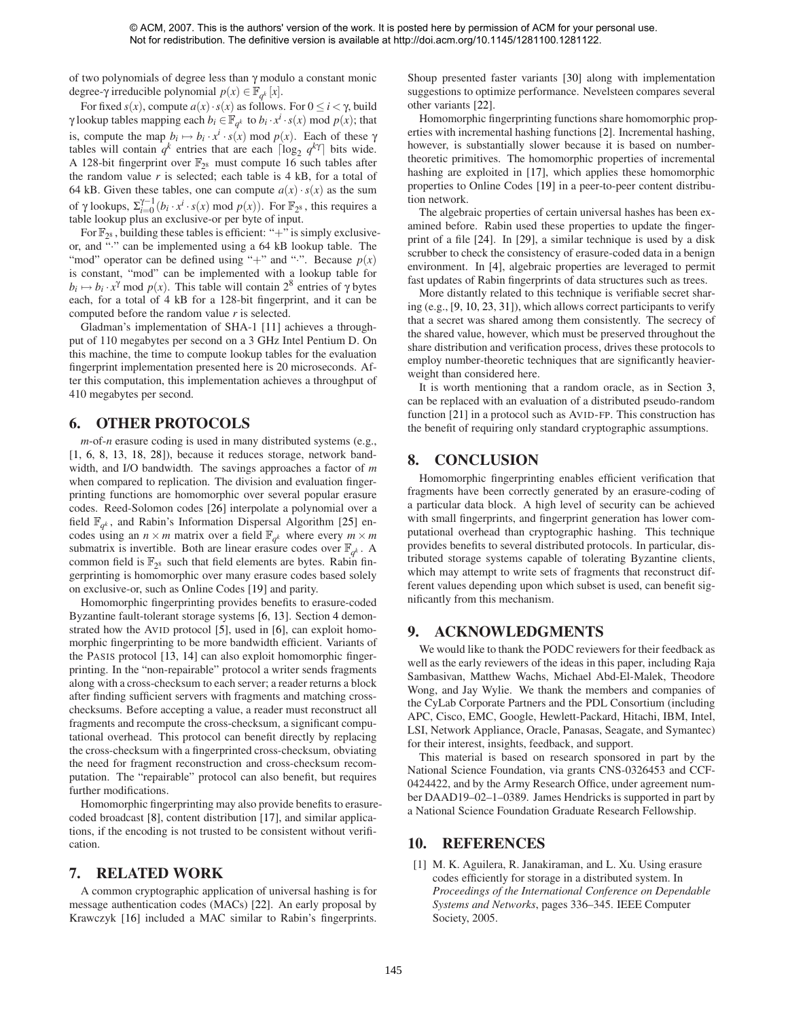of two polynomials of degree less than γ modulo a constant monic degree-γ irreducible polynomial  $p(x) \in \mathbb{F}_{q^k}[x]$ .

For fixed  $s(x)$ , compute  $a(x) \cdot s(x)$  as follows. For  $0 \le i < \gamma$ , build γ lookup tables mapping each  $b_i \in \mathbb{F}_{q^k}$  to  $b_i \cdot x^i \cdot s(x) \mod p(x)$ ; that is, compute the map  $b_i \mapsto b_i \cdot x^i \cdot s(x) \mod p(x)$ . Each of these  $\gamma$ tables will contain  $q^k$  entries that are each  $\lceil \log_2 q^{k\gamma} \rceil$  bits wide. A 128-bit fingerprint over  $\mathbb{F}_{2^8}$  must compute 16 such tables after the random value  $r$  is selected; each table is  $4$  kB, for a total of 64 kB. Given these tables, one can compute  $a(x) \cdot s(x)$  as the sum of γ lookups,  $\Sigma_{i=0}^{\gamma-1}$  (*b<sub>i</sub>* · *x<sup>i</sup>* · *s*(*x*) mod *p*(*x*)). For  $\mathbb{F}_{2^8}$ , this requires a table lookup plus an exclusive-or per byte of input.

For  $\mathbb{F}_{2^8}$ , building these tables is efficient: "+" is simply exclusiveor, and "·" can be implemented using a 64 kB lookup table. The "mod" operator can be defined using "+" and ".". Because  $p(x)$ is constant, "mod" can be implemented with a lookup table for  $b_i \mapsto b_i \cdot x^{\gamma}$  mod  $p(x)$ . This table will contain  $2^8$  entries of  $\gamma$  bytes each, for a total of 4 kB for a 128-bit fingerprint, and it can be computed before the random value *r* is selected.

Gladman's implementation of SHA-1 [\[11\]](#page-7-13) achieves a throughput of 110 megabytes per second on a 3 GHz Intel Pentium D. On this machine, the time to compute lookup tables for the evaluation fingerprint implementation presented here is 20 microseconds. After this computation, this implementation achieves a throughput of 410 megabytes per second.

# **6. OTHER PROTOCOLS**

*m*-of-*n* erasure coding is used in many distributed systems (e.g., [\[1,](#page-6-0) [6,](#page-7-12) [8,](#page-7-14) [13,](#page-7-15) [18,](#page-7-16) [28\]](#page-7-17)), because it reduces storage, network bandwidth, and I/O bandwidth. The savings approaches a factor of *m* when compared to replication. The division and evaluation fingerprinting functions are homomorphic over several popular erasure codes. Reed-Solomon codes [\[26\]](#page-7-5) interpolate a polynomial over a field  $\mathbb{F}_{q^k}$ , and Rabin's Information Dispersal Algorithm [\[25\]](#page-7-6) encodes using an  $n \times m$  matrix over a field  $\mathbb{F}_{q^k}$  where every  $m \times m$ submatrix is invertible. Both are linear erasure codes over  $\mathbb{F}_{q^k}$ . A common field is  $\mathbb{F}_{28}$  such that field elements are bytes. Rabin fingerprinting is homomorphic over many erasure codes based solely on exclusive-or, such as Online Codes [\[19\]](#page-7-18) and parity.

Homomorphic fingerprinting provides benefits to erasure-coded Byzantine fault-tolerant storage systems [\[6,](#page-7-12) [13\]](#page-7-15). Section [4](#page-3-1) demonstrated how the AVID protocol [\[5\]](#page-7-11), used in [\[6\]](#page-7-12), can exploit homomorphic fingerprinting to be more bandwidth efficient. Variants of the PASIS protocol [\[13,](#page-7-15) [14\]](#page-7-19) can also exploit homomorphic fingerprinting. In the "non-repairable" protocol a writer sends fragments along with a cross-checksum to each server; a reader returns a block after finding sufficient servers with fragments and matching crosschecksums. Before accepting a value, a reader must reconstruct all fragments and recompute the cross-checksum, a significant computational overhead. This protocol can benefit directly by replacing the cross-checksum with a fingerprinted cross-checksum, obviating the need for fragment reconstruction and cross-checksum recomputation. The "repairable" protocol can also benefit, but requires further modifications.

Homomorphic fingerprinting may also provide benefits to erasurecoded broadcast [\[8\]](#page-7-14), content distribution [\[17\]](#page-7-20), and similar applications, if the encoding is not trusted to be consistent without verification.

## **7. RELATED WORK**

A common cryptographic application of universal hashing is for message authentication codes (MACs) [\[22\]](#page-7-4). An early proposal by Krawczyk [\[16\]](#page-7-21) included a MAC similar to Rabin's fingerprints. Shoup presented faster variants [\[30\]](#page-7-2) along with implementation suggestions to optimize performance. Nevelsteen compares several other variants [\[22\]](#page-7-4).

Homomorphic fingerprinting functions share homomorphic properties with incremental hashing functions [\[2\]](#page-7-22). Incremental hashing, however, is substantially slower because it is based on numbertheoretic primitives. The homomorphic properties of incremental hashing are exploited in [\[17\]](#page-7-20), which applies these homomorphic properties to Online Codes [\[19\]](#page-7-18) in a peer-to-peer content distribution network.

The algebraic properties of certain universal hashes has been examined before. Rabin used these properties to update the fingerprint of a file [\[24\]](#page-7-0). In [\[29\]](#page-7-23), a similar technique is used by a disk scrubber to check the consistency of erasure-coded data in a benign environment. In [\[4\]](#page-7-24), algebraic properties are leveraged to permit fast updates of Rabin fingerprints of data structures such as trees.

More distantly related to this technique is verifiable secret sharing (e.g., [\[9,](#page-7-25) [10,](#page-7-26) [23,](#page-7-27) [31\]](#page-7-28)), which allows correct participants to verify that a secret was shared among them consistently. The secrecy of the shared value, however, which must be preserved throughout the share distribution and verification process, drives these protocols to employ number-theoretic techniques that are significantly heavierweight than considered here.

It is worth mentioning that a random oracle, as in Section [3,](#page-3-2) can be replaced with an evaluation of a distributed pseudo-random function [\[21\]](#page-7-29) in a protocol such as AVID-FP. This construction has the benefit of requiring only standard cryptographic assumptions.

# **8. CONCLUSION**

Homomorphic fingerprinting enables efficient verification that fragments have been correctly generated by an erasure-coding of a particular data block. A high level of security can be achieved with small fingerprints, and fingerprint generation has lower computational overhead than cryptographic hashing. This technique provides benefits to several distributed protocols. In particular, distributed storage systems capable of tolerating Byzantine clients, which may attempt to write sets of fragments that reconstruct different values depending upon which subset is used, can benefit significantly from this mechanism.

## **9. ACKNOWLEDGMENTS**

We would like to thank the PODC reviewers for their feedback as well as the early reviewers of the ideas in this paper, including Raja Sambasivan, Matthew Wachs, Michael Abd-El-Malek, Theodore Wong, and Jay Wylie. We thank the members and companies of the CyLab Corporate Partners and the PDL Consortium (including APC, Cisco, EMC, Google, Hewlett-Packard, Hitachi, IBM, Intel, LSI, Network Appliance, Oracle, Panasas, Seagate, and Symantec) for their interest, insights, feedback, and support.

This material is based on research sponsored in part by the National Science Foundation, via grants CNS-0326453 and CCF-0424422, and by the Army Research Office, under agreement number DAAD19–02–1–0389. James Hendricks is supported in part by a National Science Foundation Graduate Research Fellowship.

## <span id="page-6-0"></span>**10. REFERENCES**

[1] M. K. Aguilera, R. Janakiraman, and L. Xu. Using erasure codes efficiently for storage in a distributed system. In *Proceedings of the International Conference on Dependable Systems and Networks*, pages 336–345. IEEE Computer Society, 2005.